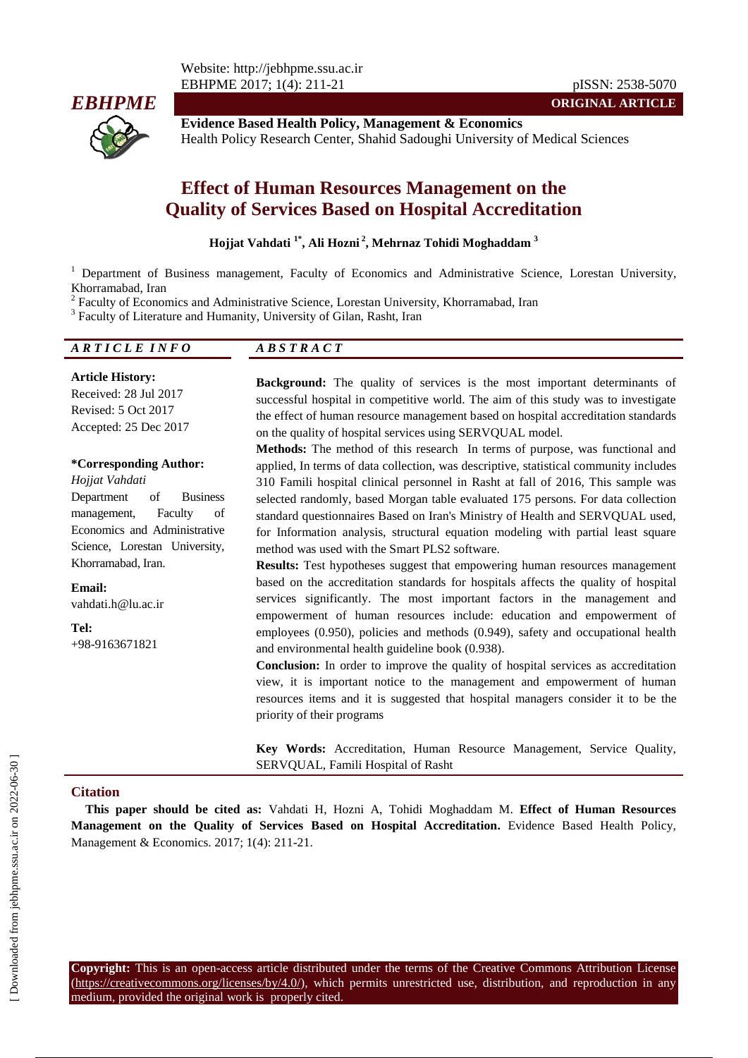

**Evidence Based Health Policy, Management & Economics** Health Policy Research Center, Shahid Sadoughi University of Medical Sciences

# **Effect of Human Resources Management on the Quality of Services Based on Hospital Accreditation**

#### **Hojjat Vahdati 1\* , Ali Hozni <sup>2</sup> , Mehrnaz Tohidi Moghaddam <sup>3</sup>**

<sup>1</sup> Department of Business management, Faculty of Economics and Administrative Science, Lorestan University, Khorramabad, Iran

<sup>2</sup> Faculty of Economics and Administrative Science, Lorestan University, Khorramabad, Iran

<sup>3</sup> Faculty of Literature and Humanity, University of Gilan, Rasht, Iran

# *A R T I C L E I N F O A B S T R A C T*

**Article History:** Received: 28 Jul 2017 Revised: 5 Oct 2017 Accepted: 25 Dec 2017

#### **\*Corresponding Author:**

*Hojjat Vahdati* Department of Business management, Faculty of Economics and Administrative Science, Lorestan University, Khorramabad, Iran.

**Email:** vahdati.h@lu.ac.ir

**Tel:** +98-9163671821 **Background:** The quality of services is the most important determinants of successful hospital in competitive world. The aim of this study was to investigate the effect of human resource management based on hospital accreditation standards on the quality of hospital services using SERVQUAL model.

**ORIGINAL ARTICLE**

**Methods:** The method of this research In terms of purpose, was functional and applied, In terms of data collection, was descriptive, statistical community includes 310 Famili hospital clinical personnel in Rasht at fall of 2016, This sample was selected randomly, based Morgan table evaluated 175 persons. For data collection standard questionnaires Based on Iran's Ministry of Health and SERVQUAL used, for Information analysis, structural equation modeling with partial least square method was used with the Smart PLS2 software.

**Results:** Test hypotheses suggest that empowering human resources management based on the accreditation standards for hospitals affects the quality of hospital services significantly. The most important factors in the management and empowerment of human resources include: education and empowerment of employees (0.950), policies and methods (0.949), safety and occupational health and environmental health guideline book (0.938).

**Conclusion:** In order to improve the quality of hospital services as accreditation view, it is important notice to the management and empowerment of human resources items and it is suggested that hospital managers consider it to be the priority of their programs

**Key Words:** Accreditation, Human Resource Management, Service Quality, SERVQUAL, Famili Hospital of Rasht

#### **Citation**

**This paper should be cited as:** Vahdati H, Hozni A, Tohidi Moghaddam M. **Effect of Human Resources Management on the Quality of Services Based on Hospital Accreditation.** Evidence Based Health Policy, Management & Economics. 2017; 1(4): 211-21.

**Copyright:** This is an open-access article distributed under the terms of the Creative Commons Attribution License (https://creativecommons.org/licenses/by/4.0/), which permits unrestricted use, distribution, and reproduction in any medium, provided the original work is properly cited.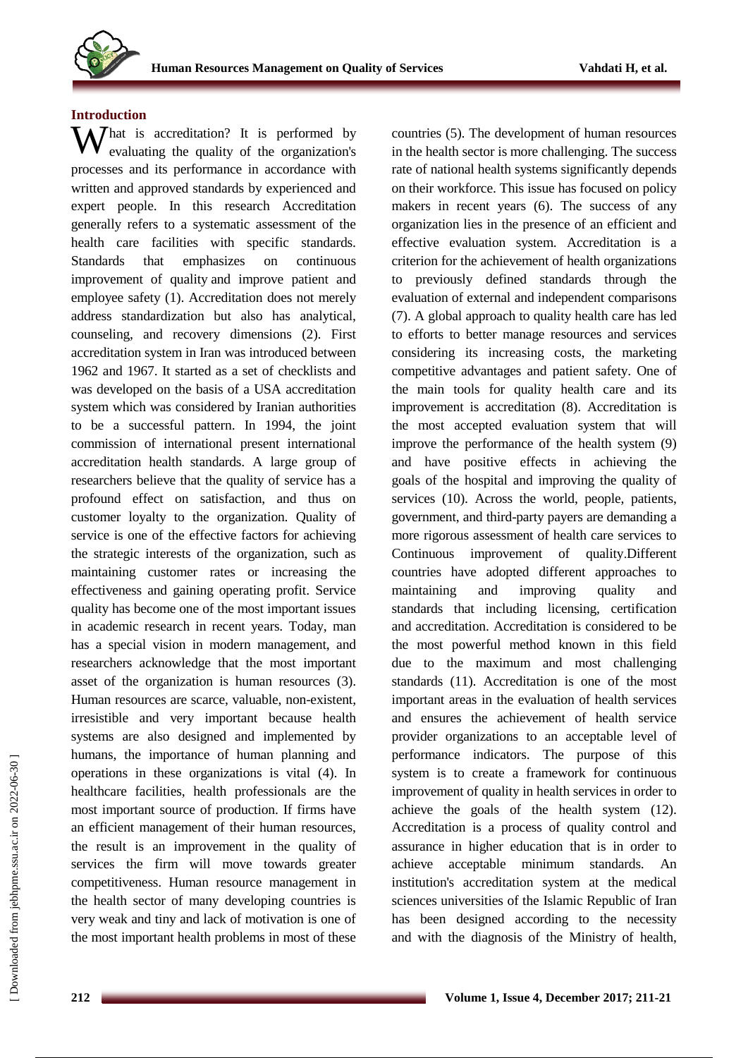

#### **Introduction**

What is accreditation? It is performed by evaluating the quality of the organization's evaluating the quality of the organization's processes and its performance in accordance with written and approved standards by experienced and expert people. In this research Accreditation generally refers to a systematic assessment of the health care facilities with specific standards. Standards that emphasizes on continuous improvement of quality and improve patient and employee safety (1). Accreditation does not merely address standardization but also has analytical, counseling, and recovery dimensions (2). First accreditation system in Iran was introduced between 1962 and 1967. It started as a set of checklists and was developed on the basis of a USA accreditation system which was considered by Iranian authorities to be a successful pattern. In 1994, the joint commission of international present international accreditation health standards. A large group of researchers believe that the quality of service has a profound effect on satisfaction, and thus on customer loyalty to the organization. Quality of service is one of the effective factors for achieving the strategic interests of the organization, such as maintaining customer rates or increasing the effectiveness and gaining operating profit. Service quality has become one of the most important issues in academic research in recent years. Today, man has a special vision in modern management, and researchers acknowledge that the most important asset of the organization is human resources (3). Human resources are scarce, valuable, non-existent, irresistible and very important because health systems are also designed and implemented by humans, the importance of human planning and operations in these organizations is vital (4). In healthcare facilities, health professionals are the most important source of production. If firms have an efficient management of their human resources, the result is an improvement in the quality of services the firm will move towards greater competitiveness. Human resource management in the health sector of many developing countries is very weak and tiny and lack of motivation is one of the most important health problems in most of these

countries (5). The development of human resources in the health sector is more challenging. The success rate of national health systems significantly depends on their workforce. This issue has focused on policy makers in recent years (6). The success of any organization lies in the presence of an efficient and effective evaluation system. Accreditation is a criterion for the achievement of health organizations to previously defined standards through the evaluation of external and independent comparisons (7). A global approach to quality health care has led to efforts to better manage resources and services considering its increasing costs, the marketing competitive advantages and patient safety. One of the main tools for quality health care and its improvement is accreditation (8). Accreditation is the most accepted evaluation system that will improve the performance of the health system (9) and have positive effects in achieving the goals of the hospital and improving the quality of services (10). Across the world, people, patients, government, and third-party payers are demanding a more rigorous assessment of health care services to Continuous improvement of quality.Different countries have adopted different approaches to maintaining and improving quality and standards that including licensing, certification and accreditation. Accreditation is considered to be the most powerful method known in this field due to the maximum and most challenging standards (11). Accreditation is one of the most important areas in the evaluation of health services and ensures the achievement of health service provider organizations to an acceptable level of performance indicators. The purpose of this system is to create a framework for continuous improvement of quality in health services in order to achieve the goals of the health system (12). Accreditation is a process of quality control and assurance in higher education that is in order to achieve acceptable minimum standards. institution's accreditation system at the medical sciences universities of the Islamic Republic of Iran has been designed according to the necessity and with the diagnosis of the Ministry of health,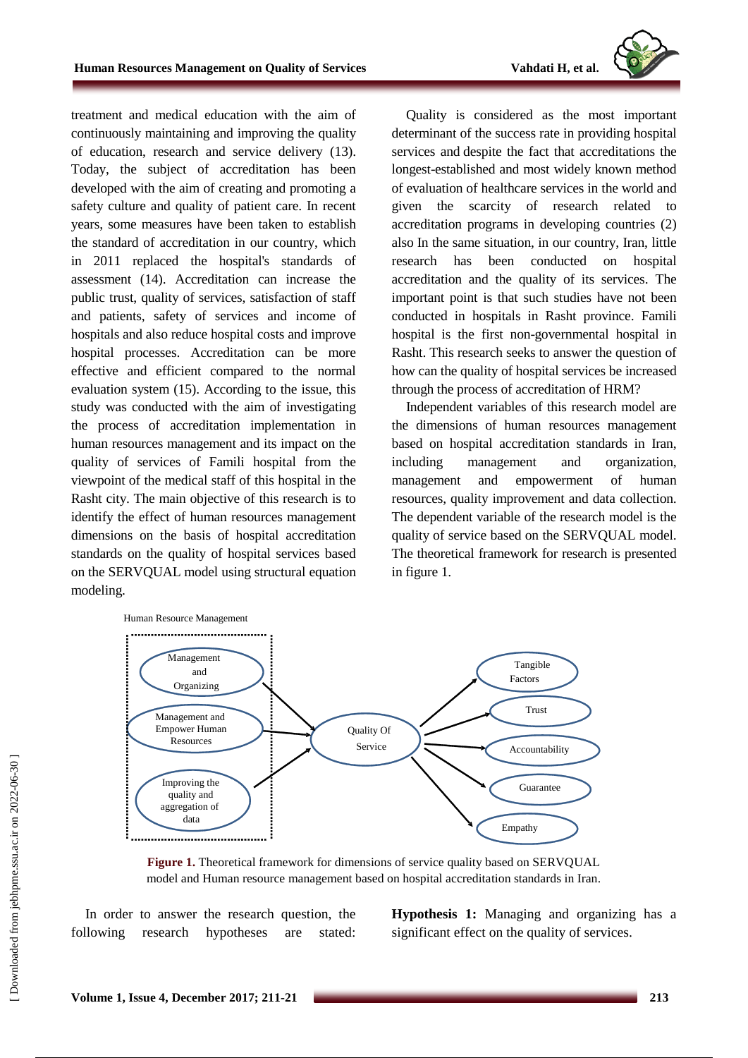

treatment and medical education with the aim of continuously maintaining and improving the quality of education, research and service delivery (13). Today, the subject of accreditation has been developed with the aim of creating and promoting a safety culture and quality of patient care. In recent years, some measures have been taken to establish the standard of accreditation in our country, which in 2011 replaced the hospital's standards of assessment (14). Accreditation can increase the public trust, quality of services, satisfaction of staff and patients, safety of services and income of hospitals and also reduce hospital costs and improve hospital processes. Accreditation can be more effective and efficient compared to the normal evaluation system (15). According to the issue, this study was conducted with the aim of investigating the process of accreditation implementation in human resources management and its impact on the quality of services of Famili hospital from the viewpoint of the medical staff of this hospital in the Rasht city. The main objective of this research is to identify the effect of human resources management dimensions on the basis of hospital accreditation standards on the quality of hospital services based on the SERVQUAL model using structural equation modeling.

Quality is considered as the most important determinant of the success rate in providing hospital services and despite the fact that accreditations the longest-established and most widely known method of evaluation of healthcare services in the world and given the scarcity of research related to accreditation programs in developing countries (2) also In the same situation, in our country, Iran, little research has been conducted on hospital accreditation and the quality of its services. The important point is that such studies have not been conducted in hospitals in Rasht province. Famili hospital is the first non-governmental hospital in Rasht. This research seeks to answer the question of how can the quality of hospital services be increased through the process of accreditation of HRM?

Independent variables of this research model are the dimensions of human resources management based on hospital accreditation standards in Iran, including management and organization, management and empowerment of human resources, quality improvement and data collection. The dependent variable of the research model is the quality of service based on the SERVQUAL model. The theoretical framework for research is presented in figure 1.



**Figure 1.** Theoretical framework for dimensions of service quality based on SERVQUAL model and Human resource management based on hospital accreditation standards in Iran.

In order to answer the research question, the following research hypotheses are stated:

**Hypothesis 1:** Managing and organizing has a significant effect on the quality of services.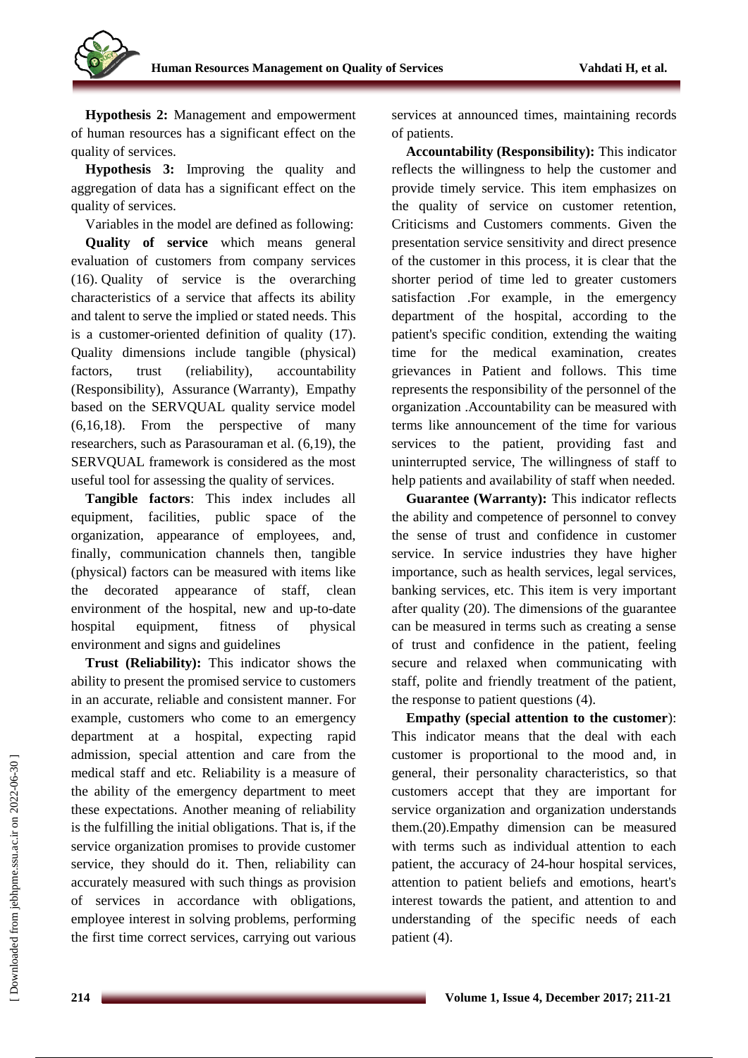

**Hypothesis 2:** Management and empowerment of human resources has a significant effect on the quality of services.

**Hypothesis 3:** Improving the quality and aggregation of data has a significant effect on the quality of services.

Variables in the model are defined as following: **Quality of service** which means general evaluation of customers from company services (16). Quality of service is the overarching characteristics of a service that affects its ability and talent to serve the implied or stated needs. This is a customer-oriented definition of quality (17). Quality dimensions include tangible (physical) factors, trust (reliability), accountability (Responsibility), Assurance (Warranty), Empathy based on the SERVQUAL quality service model (6,16,18). From the perspective of many researchers, such as Parasouraman et al. (6,19), the SERVQUAL framework is considered as the most useful tool for assessing the quality of services.

**Tangible factors**: This index includes all equipment, facilities, public space of the organization, appearance of employees, and, finally, communication channels then, tangible (physical) factors can be measured with items like the decorated appearance of staff, clean environment of the hospital, new and up-to-date hospital equipment, fitness of physical environment and signs and guidelines

**Trust (Reliability):** This indicator shows the ability to present the promised service to customers in an accurate, reliable and consistent manner. For example, customers who come to an emergency department at a hospital, expecting rapid admission, special attention and care from the medical staff and etc. Reliability is a measure of the ability of the emergency department to meet these expectations. Another meaning of reliability is the fulfilling the initial obligations. That is, if the service organization promises to provide customer service, they should do it. Then, reliability can accurately measured with such things as provision of services in accordance with obligations, employee interest in solving problems, performing the first time correct services, carrying out various services at announced times, maintaining records of patients.

**Accountability (Responsibility):** This indicator reflects the willingness to help the customer and provide timely service. This item emphasizes on the quality of service on customer retention, Criticisms and Customers comments. Given the presentation service sensitivity and direct presence of the customer in this process, it is clear that the shorter period of time led to greater customers satisfaction .For example, in the emergency department of the hospital, according to the patient's specific condition, extending the waiting time for the medical examination, creates grievances in Patient and follows. This time represents the responsibility of the personnel of the organization .Accountability can be measured with terms like announcement of the time for various services to the patient, providing fast and uninterrupted service, The willingness of staff to help patients and availability of staff when needed.

**Guarantee (Warranty):** This indicator reflects the ability and competence of personnel to convey the sense of trust and confidence in customer service. In service industries they have higher importance, such as health services, legal services, banking services, etc. This item is very important after quality (20). The dimensions of the guarantee can be measured in terms such as creating a sense of trust and confidence in the patient, feeling secure and relaxed when communicating with staff, polite and friendly treatment of the patient, the response to patient questions (4).

**Empathy (special attention to the customer**): This indicator means that the deal with each customer is proportional to the mood and, in general, their personality characteristics, so that customers accept that they are important for service organization and organization understands them.(20).Empathy dimension can be measured with terms such as individual attention to each patient, the accuracy of 24-hour hospital services, attention to patient beliefs and emotions, heart's interest towards the patient, and attention to and understanding of the specific needs of each patient (4).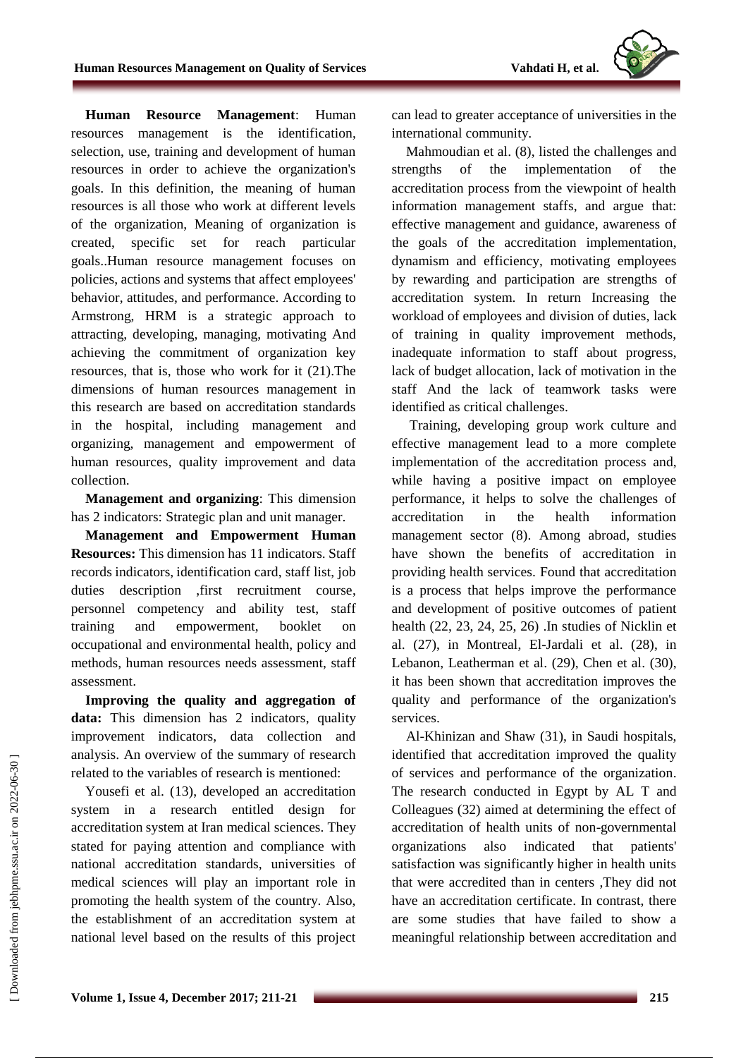**Human Resource Management**: Human resources management is the identification, selection, use, training and development of human resources in order to achieve the organization's goals. In this definition, the meaning of human resources is all those who work at different levels of the organization, Meaning of organization is created, specific set for reach particular goals..Human resource management focuses on policies, actions and systems that affect employees' behavior, attitudes, and performance. According to Armstrong, HRM is a strategic approach to attracting, developing, managing, motivating And achieving the commitment of organization key resources, that is, those who work for it (21).The dimensions of human resources management in this research are based on accreditation standards in the hospital, including management and organizing, management and empowerment of human resources, quality improvement and data collection.

**Management and organizing**: This dimension has 2 indicators: Strategic plan and unit manager.

**Management and Empowerment Human Resources:** This dimension has 11 indicators. Staff records indicators, identification card, staff list, job duties description ,first recruitment course, personnel competency and ability test, staff training and empowerment, booklet on occupational and environmental health, policy and methods, human resources needs assessment, staff assessment.

**Improving the quality and aggregation of data:** This dimension has 2 indicators, quality improvement indicators, data collection and analysis. An overview of the summary of research related to the variables of research is mentioned:

Yousefi et al. (13), developed an accreditation system in a research entitled design for accreditation system at Iran medical sciences. They stated for paying attention and compliance with national accreditation standards, universities of medical sciences will play an important role in promoting the health system of the country. Also, the establishment of an accreditation system at national level based on the results of this project can lead to greater acceptance of universities in the international community.

Mahmoudian et al. (8), listed the challenges and strengths of the implementation of the accreditation process from the viewpoint of health information management staffs, and argue that: effective management and guidance, awareness of the goals of the accreditation implementation, dynamism and efficiency, motivating employees by rewarding and participation are strengths of accreditation system. In return Increasing the workload of employees and division of duties, lack of training in quality improvement methods, inadequate information to staff about progress, lack of budget allocation, lack of motivation in the staff And the lack of teamwork tasks were identified as critical challenges.

Training, developing group work culture and effective management lead to a more complete implementation of the accreditation process and, while having a positive impact on employee performance, it helps to solve the challenges of accreditation in the health information management sector (8). Among abroad, studies have shown the benefits of accreditation in providing health services. Found that accreditation is a process that helps improve the performance and development of positive outcomes of patient health (22, 23, 24, 25, 26) .In studies of Nicklin et al. (27), in Montreal, El-Jardali et al. (28), in Lebanon, Leatherman et al. (29), Chen et al. (30), it has been shown that accreditation improves the quality and performance of the organization's services.

Al-Khinizan and Shaw (31), in Saudi hospitals, identified that accreditation improved the quality of services and performance of the organization. The research conducted in Egypt by AL T and Colleagues (32) aimed at determining the effect of accreditation of health units of non-governmental organizations also indicated that patients' satisfaction was significantly higher in health units that were accredited than in centers ,They did not have an accreditation certificate. In contrast, there are some studies that have failed to show a meaningful relationship between accreditation and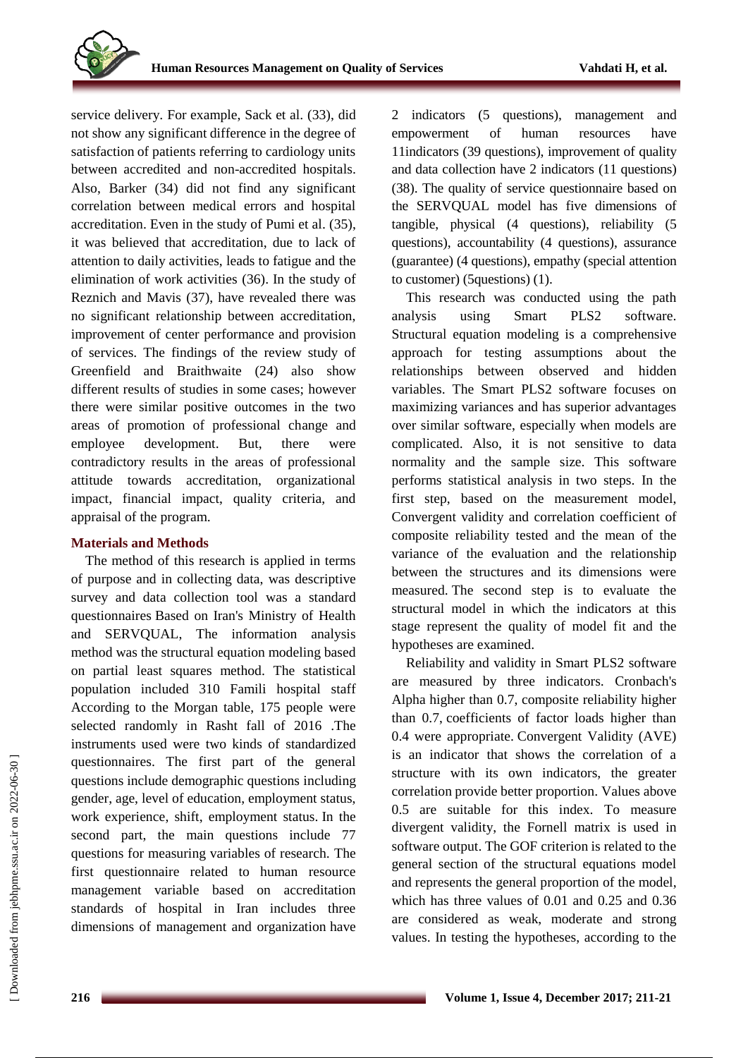service delivery. For example, Sack et al. (33), did not show any significant difference in the degree of satisfaction of patients referring to cardiology units between accredited and non-accredited hospitals. Also, Barker (34) did not find any significant correlation between medical errors and hospital accreditation. Even in the study of Pumi et al. (35), it was believed that accreditation, due to lack of attention to daily activities, leads to fatigue and the elimination of work activities (36). In the study of Reznich and Mavis (37), have revealed there was no significant relationship between accreditation, improvement of center performance and provision of services. The findings of the review study of Greenfield and Braithwaite (24) also show different results of studies in some cases; however there were similar positive outcomes in the two areas of promotion of professional change and employee development. But, there were contradictory results in the areas of professional attitude towards accreditation, organizational impact, financial impact, quality criteria, and appraisal of the program.

## **Materials and Methods**

The method of this research is applied in terms of purpose and in collecting data, was descriptive survey and data collection tool was a standard questionnaires Based on Iran's Ministry of Health and SERVQUAL, The information analysis method was the structural equation modeling based on partial least squares method. The statistical population included 310 Famili hospital staff According to the Morgan table, 175 people were selected randomly in Rasht fall of 2016 .The instruments used were two kinds of standardized questionnaires. The first part of the general questions include demographic questions including gender, age, level of education, employment status, work experience, shift, employment status. In the second part, the main questions include 77 questions for measuring variables of research. The first questionnaire related to human resource management variable based on accreditation standards of hospital in Iran includes three dimensions of management and organization have 2 indicators (5 questions), management and empowerment of human resources have 11indicators (39 questions), improvement of quality and data collection have 2 indicators (11 questions) (38). The quality of service questionnaire based on the SERVQUAL model has five dimensions of tangible, physical (4 questions), reliability (5 questions), accountability (4 questions), assurance (guarantee) (4 questions), empathy (special attention to customer) (5questions) (1).

This research was conducted using the path analysis using Smart PLS2 software. Structural equation modeling is a comprehensive approach for testing assumptions about the relationships between observed and hidden variables. The Smart PLS2 software focuses on maximizing variances and has superior advantages over similar software, especially when models are complicated. Also, it is not sensitive to data normality and the sample size. This software performs statistical analysis in two steps. In the first step, based on the measurement model, Convergent validity and correlation coefficient of composite reliability tested and the mean of the variance of the evaluation and the relationship between the structures and its dimensions were measured. The second step is to evaluate the structural model in which the indicators at this stage represent the quality of model fit and the hypotheses are examined.

Reliability and validity in Smart PLS2 software are measured by three indicators. Cronbach's Alpha higher than 0.7, composite reliability higher than 0.7, coefficients of factor loads higher than 0.4 were appropriate. Convergent Validity (AVE) is an indicator that shows the correlation of a structure with its own indicators, the greater correlation provide better proportion. Values above 0.5 are suitable for this index. To measure divergent validity, the Fornell matrix is used in software output. The GOF criterion is related to the general section of the structural equations model and represents the general proportion of the model, which has three values of 0.01 and 0.25 and 0.36 are considered as weak, moderate and strong values. In testing the hypotheses, according to the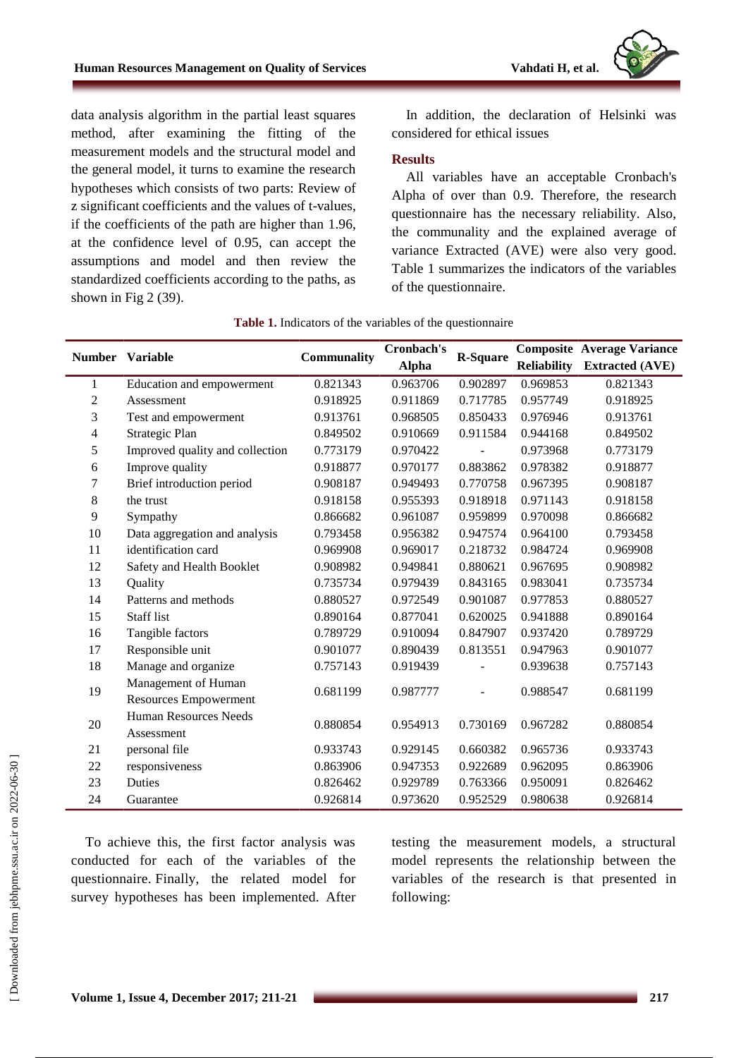data analysis algorithm in the partial least squares method, after examining the fitting of the measurement models and the structural model and the general model, it turns to examine the research hypotheses which consists of two parts: Review of z significant coefficients and the values of t-values, if the coefficients of the path are higher than 1.96, at the confidence level of 0.95, can accept the assumptions and model and then review the standardized coefficients according to the paths, as shown in Fig 2 (39).

In addition, the declaration of Helsinki was considered for ethical issues

#### **Results**

All variables have an acceptable Cronbach's Alpha of over than 0.9. Therefore, the research questionnaire has the necessary reliability. Also, the communality and the explained average of variance Extracted (AVE) were also very good. Table 1 summarizes the indicators of the variables of the questionnaire.

|                | <b>Number</b> Variable                       | Communality | Cronbach's   | <b>R-Square</b> |                    | <b>Composite Average Variance</b> |
|----------------|----------------------------------------------|-------------|--------------|-----------------|--------------------|-----------------------------------|
|                |                                              |             | <b>Alpha</b> |                 | <b>Reliability</b> | <b>Extracted (AVE)</b>            |
| 1              | Education and empowerment                    | 0.821343    | 0.963706     | 0.902897        | 0.969853           | 0.821343                          |
| $\overline{c}$ | Assessment                                   | 0.918925    | 0.911869     | 0.717785        | 0.957749           | 0.918925                          |
| 3              | Test and empowerment                         | 0.913761    | 0.968505     | 0.850433        | 0.976946           | 0.913761                          |
| 4              | Strategic Plan                               | 0.849502    | 0.910669     | 0.911584        | 0.944168           | 0.849502                          |
| 5              | Improved quality and collection              | 0.773179    | 0.970422     |                 | 0.973968           | 0.773179                          |
| 6              | Improve quality                              | 0.918877    | 0.970177     | 0.883862        | 0.978382           | 0.918877                          |
| 7              | Brief introduction period                    | 0.908187    | 0.949493     | 0.770758        | 0.967395           | 0.908187                          |
| 8              | the trust                                    | 0.918158    | 0.955393     | 0.918918        | 0.971143           | 0.918158                          |
| 9              | Sympathy                                     | 0.866682    | 0.961087     | 0.959899        | 0.970098           | 0.866682                          |
| 10             | Data aggregation and analysis                | 0.793458    | 0.956382     | 0.947574        | 0.964100           | 0.793458                          |
| 11             | identification card                          | 0.969908    | 0.969017     | 0.218732        | 0.984724           | 0.969908                          |
| 12             | Safety and Health Booklet                    | 0.908982    | 0.949841     | 0.880621        | 0.967695           | 0.908982                          |
| 13             | Quality                                      | 0.735734    | 0.979439     | 0.843165        | 0.983041           | 0.735734                          |
| 14             | Patterns and methods                         | 0.880527    | 0.972549     | 0.901087        | 0.977853           | 0.880527                          |
| 15             | <b>Staff</b> list                            | 0.890164    | 0.877041     | 0.620025        | 0.941888           | 0.890164                          |
| 16             | Tangible factors                             | 0.789729    | 0.910094     | 0.847907        | 0.937420           | 0.789729                          |
| 17             | Responsible unit                             | 0.901077    | 0.890439     | 0.813551        | 0.947963           | 0.901077                          |
| 18             | Manage and organize                          | 0.757143    | 0.919439     |                 | 0.939638           | 0.757143                          |
| 19             | Management of Human<br>Resources Empowerment | 0.681199    | 0.987777     |                 | 0.988547           | 0.681199                          |
| $20\,$         | <b>Human Resources Needs</b><br>Assessment   | 0.880854    | 0.954913     | 0.730169        | 0.967282           | 0.880854                          |
| 21             | personal file                                | 0.933743    | 0.929145     | 0.660382        | 0.965736           | 0.933743                          |
| 22             | responsiveness                               | 0.863906    | 0.947353     | 0.922689        | 0.962095           | 0.863906                          |
| 23             | Duties                                       | 0.826462    | 0.929789     | 0.763366        | 0.950091           | 0.826462                          |
| 24             | Guarantee                                    | 0.926814    | 0.973620     | 0.952529        | 0.980638           | 0.926814                          |

#### **Table 1.** Indicators of the variables of the questionnaire

To achieve this, the first factor analysis was conducted for each of the variables of the questionnaire. Finally, the related model for survey hypotheses has been implemented. After testing the measurement models, a structural model represents the relationship between the variables of the research is that presented in following: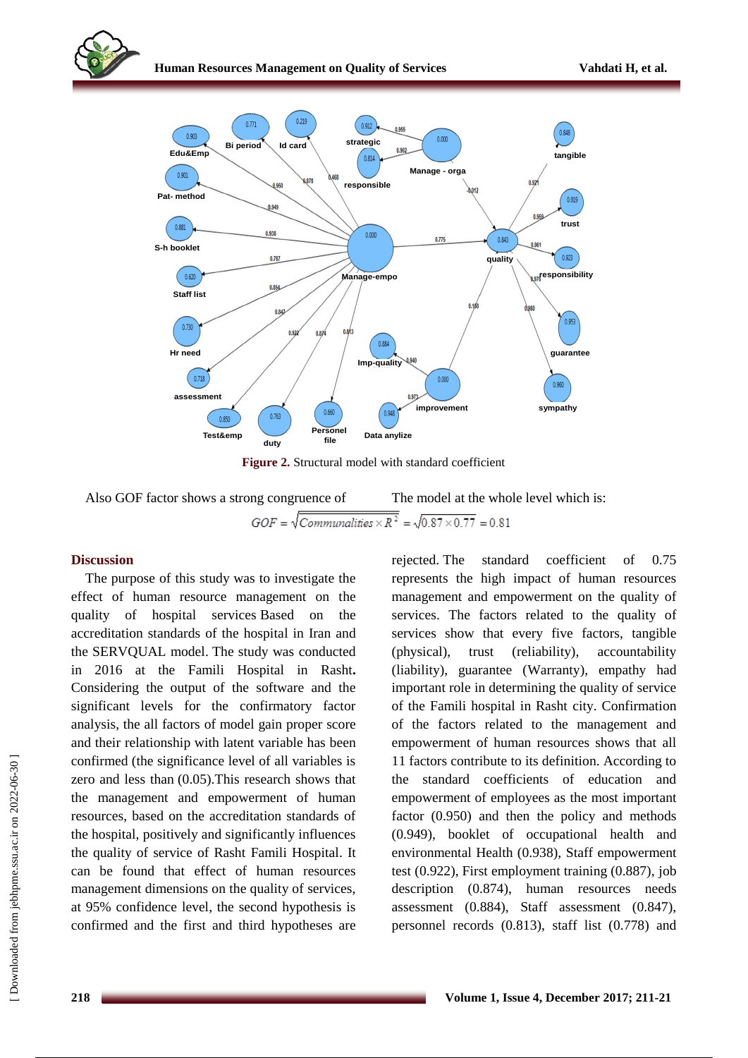

**Figure 2.** Structural model with standard coefficient

Also GOF factor shows a strong congruence of The model at the whole level which is:

### **Discussion**

The purpose of this study was to investigate the effect of human resource management on the quality of hospital services Based on the accreditation standards of the hospital in Iran and the SERVQUAL model. The study was conducted in 2016 at the Famili Hospital in Rasht**.** Considering the output of the software and the significant levels for the confirmatory factor analysis, the all factors of model gain proper score and their relationship with latent variable has been confirmed (the significance level of all variables is zero and less than (0.05).This research shows that the management and empowerment of human resources, based on the accreditation standards of the hospital, positively and significantly influences the quality of service of Rasht Famili Hospital. It can be found that effect of human resources management dimensions on the quality of services, at 95% confidence level, the second hypothesis is confirmed and the first and third hypotheses are rejected. The standard coefficient of 0.75 represents the high impact of human resources management and empowerment on the quality of services. The factors related to the quality of services show that every five factors, tangible (physical), trust (reliability), accountability (liability), guarantee (Warranty), empathy had important role in determining the quality of service of the Famili hospital in Rasht city. Confirmation of the factors related to the management and empowerment of human resources shows that all 11 factors contribute to its definition. According to the standard coefficients of education and empowerment of employees as the most important factor (0.950) and then the policy and methods (0.949), booklet of occupational health and environmental Health (0.938), Staff empowerment test (0.922), First employment training (0.887), job description (0.874), human resources needs assessment (0.884), Staff assessment (0.847), personnel records (0.813), staff list (0.778) and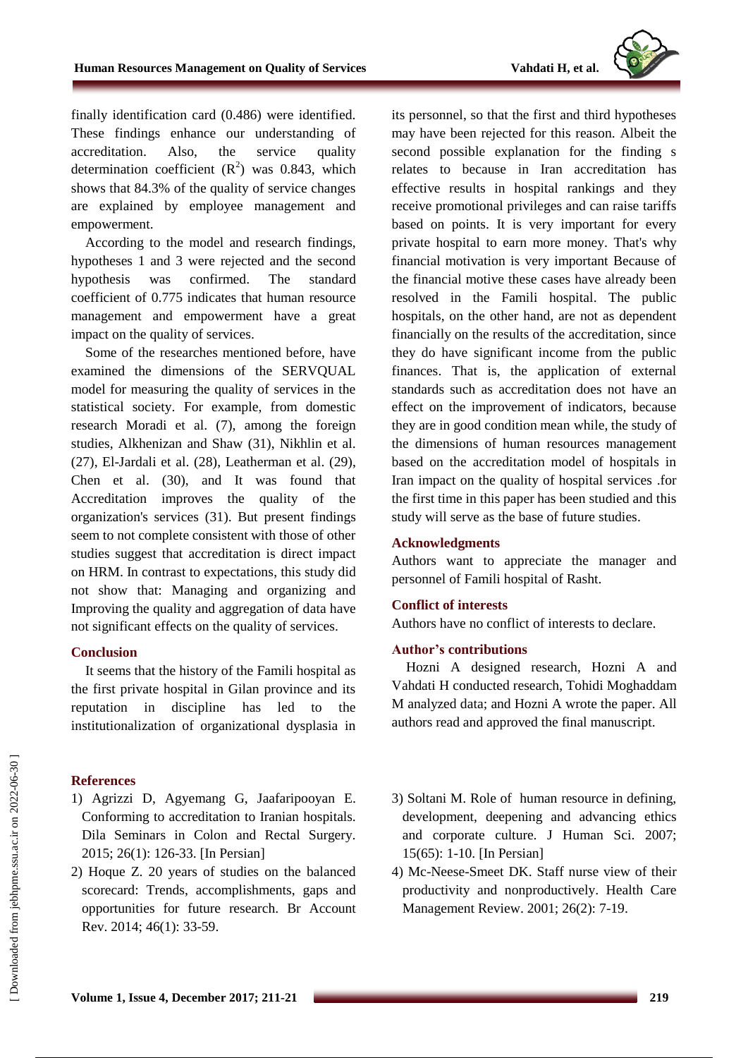

finally identification card (0.486) were identified. These findings enhance our understanding of accreditation. Also, the service quality determination coefficient  $(R^2)$  was 0.843, which shows that 84.3% of the quality of service changes are explained by employee management and empowerment.

According to the model and research findings, hypotheses 1 and 3 were rejected and the second hypothesis was confirmed. The standard coefficient of 0.775 indicates that human resource management and empowerment have a great impact on the quality of services.

Some of the researches mentioned before, have examined the dimensions of the SERVQUAL model for measuring the quality of services in the statistical society. For example, from domestic research Moradi et al. (7), among the foreign studies, Alkhenizan and Shaw (31), Nikhlin et al. (27), El-Jardali et al. (28), Leatherman et al. (29), Chen et al. (30), and It was found that Accreditation improves the quality of the organization's services (31). But present findings seem to not complete consistent with those of other studies suggest that accreditation is direct impact on HRM. In contrast to expectations, this study did not show that: Managing and organizing and Improving the quality and aggregation of data have not significant effects on the quality of services.

#### **Conclusion**

It seems that the history of the Famili hospital as the first private hospital in Gilan province and its reputation in discipline has led to the institutionalization of organizational dysplasia in

### **References**

- 1) Agrizzi D, Agyemang G, Jaafaripooyan E. Conforming to accreditation to Iranian hospitals. Dila Seminars in Colon and Rectal Surgery. 2015; 26(1): 126-33. [In Persian]
- 2) Hoque Z. 20 years of studies on the balanced scorecard: Trends, accomplishments, gaps and opportunities for future research. Br Account Rev. 2014; 46(1): 33-59.

its personnel, so that the first and third hypotheses may have been rejected for this reason. Albeit the second possible explanation for the finding s relates to because in Iran accreditation has effective results in hospital rankings and they receive promotional privileges and can raise tariffs based on points. It is very important for every private hospital to earn more money. That's why financial motivation is very important Because of the financial motive these cases have already been resolved in the Famili hospital. The public hospitals, on the other hand, are not as dependent financially on the results of the accreditation, since they do have significant income from the public finances. That is, the application of external standards such as accreditation does not have an effect on the improvement of indicators, because they are in good condition mean while, the study of the dimensions of human resources management based on the accreditation model of hospitals in Iran impact on the quality of hospital services .for the first time in this paper has been studied and this study will serve as the base of future studies.

### **Acknowledgments**

Authors want to appreciate the manager and personnel of Famili hospital of Rasht.

## **Conflict of interests**

Authors have no conflict of interests to declare.

### **Author's contributions**

Hozni A designed research, Hozni A and Vahdati H conducted research, Tohidi Moghaddam M analyzed data; and Hozni A wrote the paper. All authors read and approved the final manuscript.

- 3) Soltani M. Role of human resource in defining, development, deepening and advancing ethics and corporate culture. J Human Sci. 2007; 15(65): 1-10. [In Persian]
- 4) Mc-Neese-Smeet DK. Staff nurse view of their productivity and nonproductively. Health Care Management Review. 2001; 26(2): 7-19.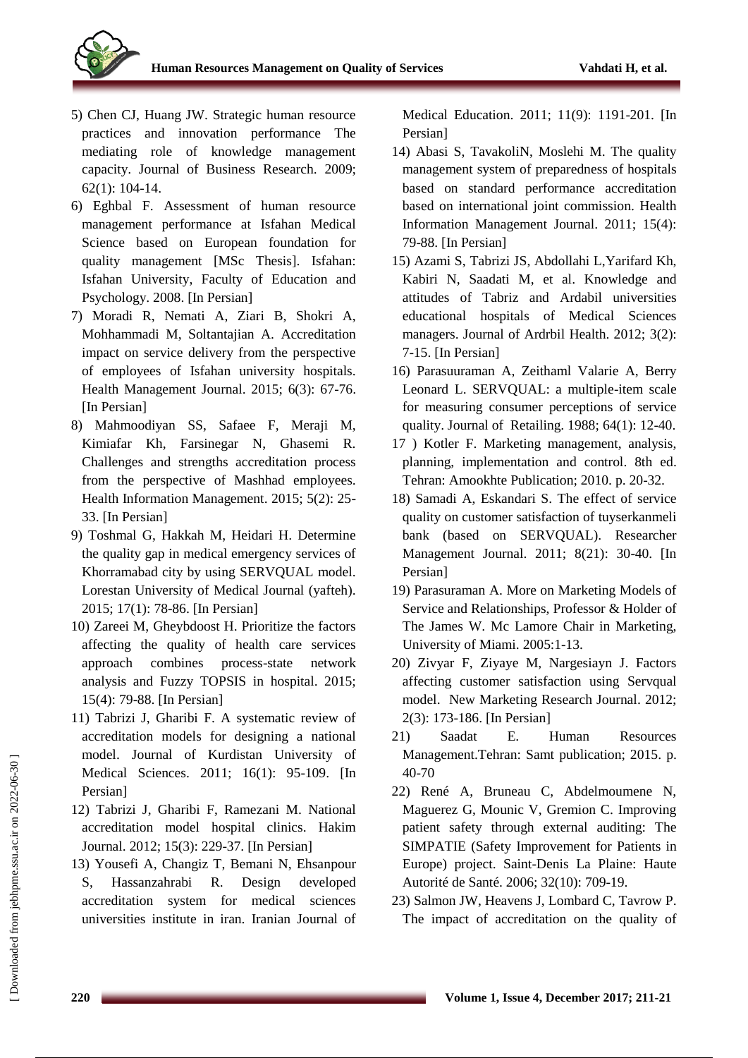

- 5) Chen CJ, Huang JW. Strategic human resource practices and innovation performance The mediating role of knowledge management capacity. Journal of Business Research. 2009; 62(1): 104-14.
- 6) Eghbal F. Assessment of human resource management performance at Isfahan Medical Science based on European foundation for quality management [MSc Thesis]. Isfahan: Isfahan University, Faculty of Education and Psychology. 2008. [In Persian]
- 7) Moradi R, Nemati A, Ziari B, Shokri A, Mohhammadi M, Soltantajian A. Accreditation impact on service delivery from the perspective of employees of Isfahan university hospitals. Health Management Journal. 2015; 6(3): 67-76. [In Persian]
- 8) Mahmoodiyan SS, Safaee F, Meraji M, Kimiafar Kh, Farsinegar N, Ghasemi R. Challenges and strengths accreditation process from the perspective of Mashhad employees. Health Information Management. 2015; 5(2): 25- 33. [In Persian]
- 9) Toshmal G, Hakkah M, Heidari H. Determine the quality gap in medical emergency services of Khorramabad city by using SERVQUAL model. Lorestan University of Medical Journal (yafteh). 2015; 17(1): 78-86. [In Persian]
- 10) Zareei M, Gheybdoost H. Prioritize the factors affecting the quality of health care services approach combines process-state network analysis and Fuzzy TOPSIS in hospital. 2015; 15(4): 79-88. [In Persian]
- 11) Tabrizi J, Gharibi F. A systematic review of accreditation models for designing a national model. Journal of Kurdistan University of Medical Sciences. 2011; 16(1): 95-109. [In Persian]
- 12) Tabrizi J, Gharibi F, Ramezani M. National accreditation model hospital clinics. Hakim Journal. 2012; 15(3): 229-37. [In Persian]
- 13) Yousefi A, Changiz T, Bemani N, Ehsanpour S, Hassanzahrabi R. Design developed accreditation system for medical sciences universities institute in iran. Iranian Journal of

Medical Education. 2011; 11(9): 1191-201. [In Persian]

- 14) Abasi S, TavakoliN, Moslehi M. The quality management system of preparedness of hospitals based on standard performance accreditation based on international joint commission. Health Information Management Journal. 2011; 15(4): 79-88. [In Persian]
- 15) Azami S, Tabrizi JS, Abdollahi L,Yarifard Kh, Kabiri N, Saadati M, et al. Knowledge and attitudes of Tabriz and Ardabil universities educational hospitals of Medical Sciences managers. Journal of Ardrbil Health. 2012; 3(2): 7-15. [In Persian]
- 16) Parasuuraman A, Zeithaml Valarie A, Berry Leonard L. SERVQUAL: a multiple-item scale for measuring consumer perceptions of service quality. Journal of Retailing. 1988; 64(1): 12-40.
- 17 ) Kotler F. Marketing management, analysis, planning, implementation and control. 8th ed. Tehran: Amookhte Publication; 2010. p. 20-32.
- 18) Samadi A, Eskandari S. The effect of service quality on customer satisfaction of tuyserkanmeli bank (based on SERVQUAL). Researcher Management Journal. 2011; 8(21): 30-40. [In Persian]
- 19) Parasuraman A. More on Marketing Models of Service and Relationships, Professor & Holder of The James W. Mc Lamore Chair in Marketing, University of Miami. 2005:1-13.
- 20) Zivyar F, Ziyaye M, Nargesiayn J. Factors affecting customer satisfaction using Servqual model. New Marketing Research Journal. 2012; 2(3): 173-186. [In Persian]
- 21) Saadat E. Human Resources Management.Tehran: Samt publication; 2015. p. 40-70
- 22) René A, Bruneau C, Abdelmoumene N, Maguerez G, Mounic V, Gremion C. Improving patient safety through external auditing: The SIMPATIE (Safety Improvement for Patients in Europe) project. Saint-Denis La Plaine: Haute Autorité de Santé. 2006; 32(10): 709-19.
- 23) Salmon JW, Heavens J, Lombard C, Tavrow P. The impact of accreditation on the quality of